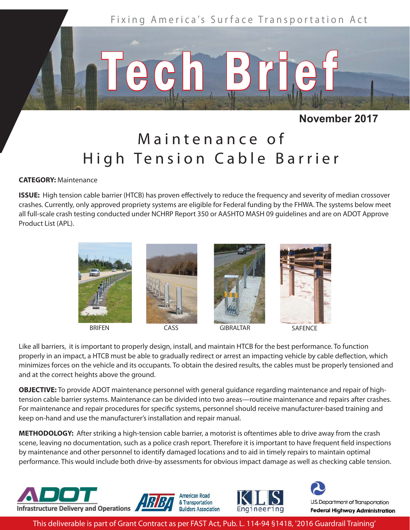

**November 2017**

## Maintenance of High Tension Cable Barrier

## **CATEGORY:** Maintenance

**ISSUE:** High tension cable barrier (HTCB) has proven effectively to reduce the frequency and severity of median crossover crashes. Currently, only approved propriety systems are eligible for Federal funding by the FHWA. The systems below meet all full-scale crash testing conducted under NCHRP Report 350 or AASHTO MASH 09 guidelines and are on ADOT Approve Product List (APL).



Like all barriers, it is important to properly design, install, and maintain HTCB for the best performance. To function properly in an impact, a HTCB must be able to gradually redirect or arrest an impacting vehicle by cable deflection, which minimizes forces on the vehicle and its occupants. To obtain the desired results, the cables must be properly tensioned and and at the correct heights above the ground.

**OBJECTIVE:** To provide ADOT maintenance personnel with general guidance regarding maintenance and repair of hightension cable barrier systems. Maintenance can be divided into two areas—routine maintenance and repairs after crashes. For maintenance and repair procedures for specific systems, personnel should receive manufacturer-based training and keep on-hand and use the manufacturer's installation and repair manual.

**METHODOLOGY:** After striking a high-tension cable barrier, a motorist is oftentimes able to drive away from the crash scene, leaving no documentation, such as a police crash report. Therefore it is important to have frequent field inspections by maintenance and other personnel to identify damaged locations and to aid in timely repairs to maintain optimal performance. This would include both drive-by assessments for obvious impact damage as well as checking cable tension.



This deliverable is part of Grant Contract as per FAST Act, Pub. L. 114-94 §1418, '2016 Guardrail Training'